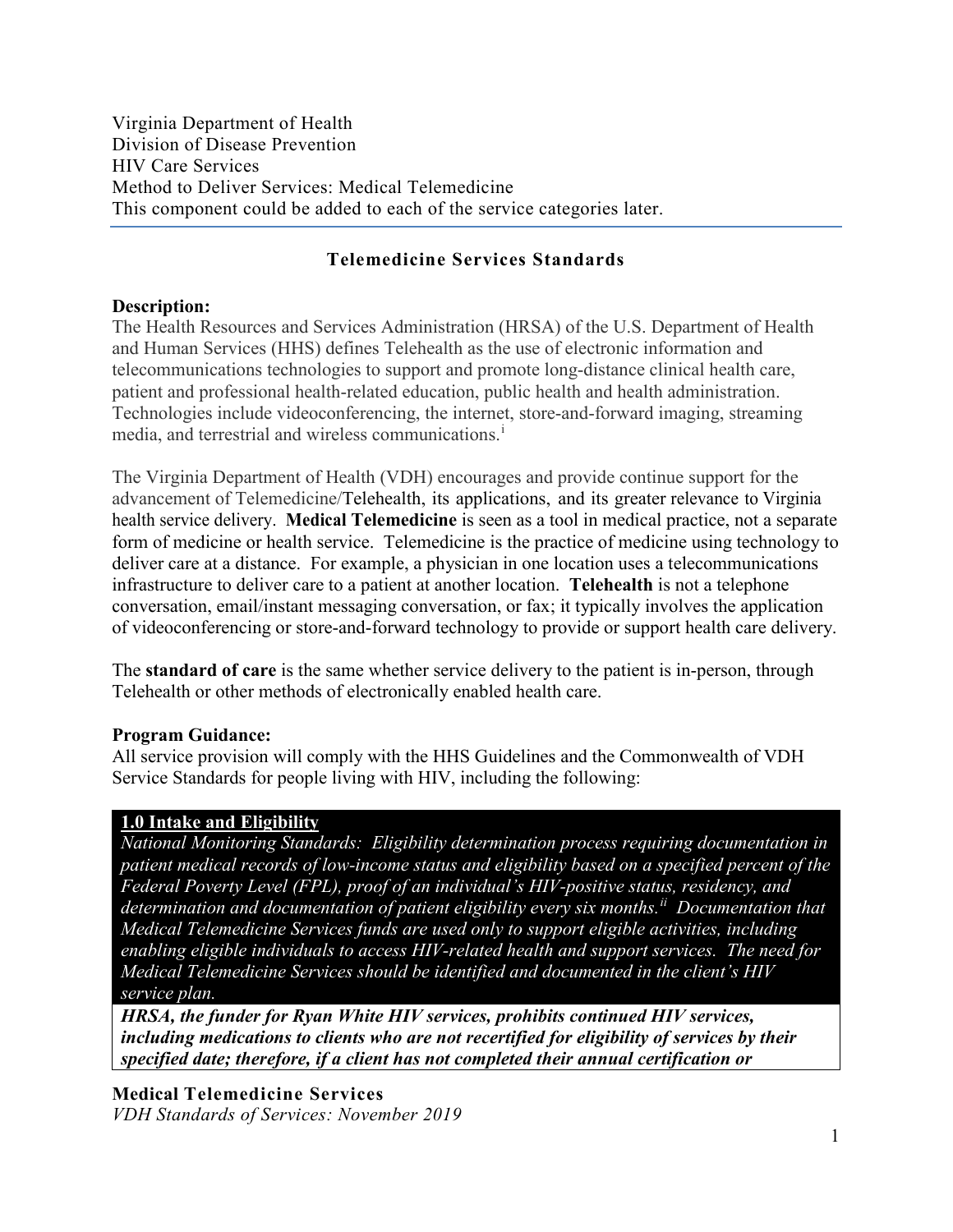Virginia Department of Health Division of Disease Prevention HIV Care Services Method to Deliver Services: Medical Telemedicine This component could be added to each of the service categories later.

#### **Telemedicine Services Standards**

#### **Description:**

The Health Resources and Services Administration (HRSA) of the U.S. Department of Health and Human Services (HHS) defines Telehealth as the use of electronic information and telecommunications technologies to support and promote long-distance clinical health care, patient and professional health-related education, public health and health administration. Technologies include videoconferencing, the internet, store-and-forward imaging, streaming med[i](#page-12-0)a, and terrestrial and wireless communications.<sup>1</sup>

The Virginia Department of Health (VDH) encourages and provide continue support for the advancement of Telemedicine/Telehealth, its applications, and its greater relevance to Virginia health service delivery. **Medical Telemedicine** is seen as a tool in medical practice, not a separate form of medicine or health service. Telemedicine is the practice of medicine using technology to deliver care at a distance. For example, a physician in one location uses a telecommunications infrastructure to deliver care to a patient at another location. **Telehealth** is not a telephone conversation, email/instant messaging conversation, or fax; it typically involves the application of videoconferencing or store-and-forward technology to provide or support health care delivery.

The **standard of care** is the same whether service delivery to the patient is in-person, through Telehealth or other methods of electronically enabled health care.

#### **Program Guidance:**

All service provision will comply with the HHS Guidelines and the Commonwealth of VDH Service Standards for people living with HIV, including the following:

#### **1.0 Intake and Eligibility**

*National Monitoring Standards: Eligibility determination process requiring documentation in patient medical records of low-income status and eligibility based on a specified percent of the Federal Poverty Level (FPL), proof of an individual's HIV-positive status, residency, and determination and documentation of patient eligibility every six months. [ii](#page-12-1) Documentation that Medical Telemedicine Services funds are used only to support eligible activities, including enabling eligible individuals to access HIV-related health and support services. The need for Medical Telemedicine Services should be identified and documented in the client's HIV service plan.*

*HRSA, the funder for Ryan White HIV services, prohibits continued HIV services, including medications to clients who are not recertified for eligibility of services by their specified date; therefore, if a client has not completed their annual certification or* 

#### **Medical Telemedicine Services**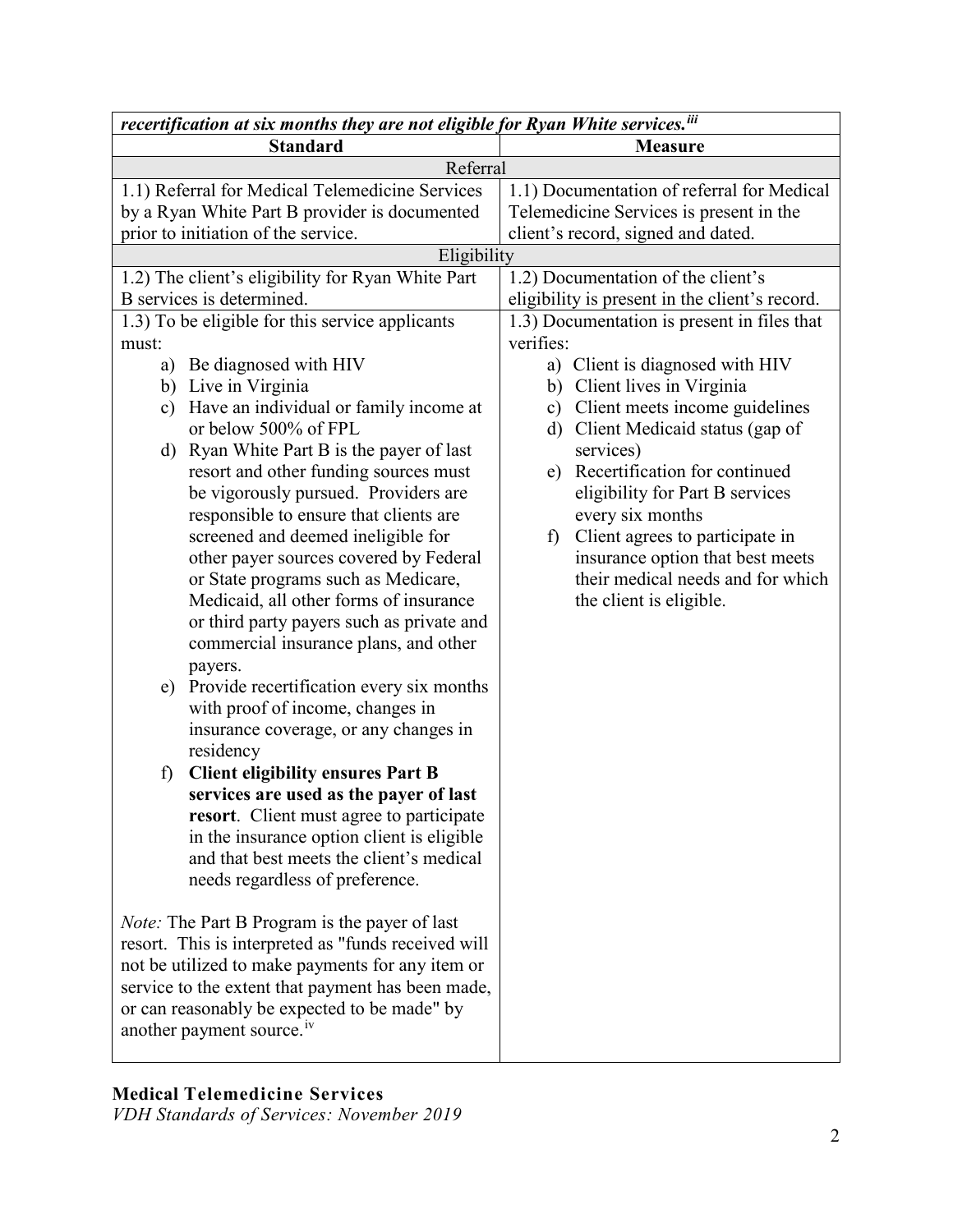| recertification at six months they are not eligible for Ryan White services. iii |                                                |
|----------------------------------------------------------------------------------|------------------------------------------------|
| <b>Standard</b>                                                                  | <b>Measure</b>                                 |
| Referral                                                                         |                                                |
| 1.1) Referral for Medical Telemedicine Services                                  | 1.1) Documentation of referral for Medical     |
| by a Ryan White Part B provider is documented                                    | Telemedicine Services is present in the        |
| prior to initiation of the service.                                              | client's record, signed and dated.             |
| Eligibility                                                                      |                                                |
| 1.2) The client's eligibility for Ryan White Part                                | 1.2) Documentation of the client's             |
| B services is determined.                                                        | eligibility is present in the client's record. |
| 1.3) To be eligible for this service applicants                                  | 1.3) Documentation is present in files that    |
| must:                                                                            | verifies:                                      |
| a) Be diagnosed with HIV                                                         | a) Client is diagnosed with HIV                |
| b) Live in Virginia                                                              | b) Client lives in Virginia                    |
| Have an individual or family income at<br>c)                                     | c) Client meets income guidelines              |
| or below 500% of FPL                                                             | d) Client Medicaid status (gap of              |
| d) Ryan White Part B is the payer of last                                        | services)                                      |
| resort and other funding sources must                                            | e) Recertification for continued               |
| be vigorously pursued. Providers are                                             | eligibility for Part B services                |
| responsible to ensure that clients are                                           | every six months                               |
| screened and deemed ineligible for                                               | Client agrees to participate in<br>f)          |
| other payer sources covered by Federal                                           | insurance option that best meets               |
| or State programs such as Medicare,                                              | their medical needs and for which              |
| Medicaid, all other forms of insurance                                           | the client is eligible.                        |
| or third party payers such as private and                                        |                                                |
| commercial insurance plans, and other                                            |                                                |
| payers.                                                                          |                                                |
| Provide recertification every six months<br>e)                                   |                                                |
| with proof of income, changes in                                                 |                                                |
| insurance coverage, or any changes in                                            |                                                |
| residency                                                                        |                                                |
| <b>Client eligibility ensures Part B</b><br>f)                                   |                                                |
| services are used as the payer of last                                           |                                                |
| resort. Client must agree to participate                                         |                                                |
| in the insurance option client is eligible                                       |                                                |
| and that best meets the client's medical                                         |                                                |
| needs regardless of preference.                                                  |                                                |
|                                                                                  |                                                |
| <i>Note:</i> The Part B Program is the payer of last                             |                                                |
| resort. This is interpreted as "funds received will                              |                                                |
| not be utilized to make payments for any item or                                 |                                                |
| service to the extent that payment has been made,                                |                                                |
| or can reasonably be expected to be made" by                                     |                                                |
| another payment source. <sup>iv</sup>                                            |                                                |
|                                                                                  |                                                |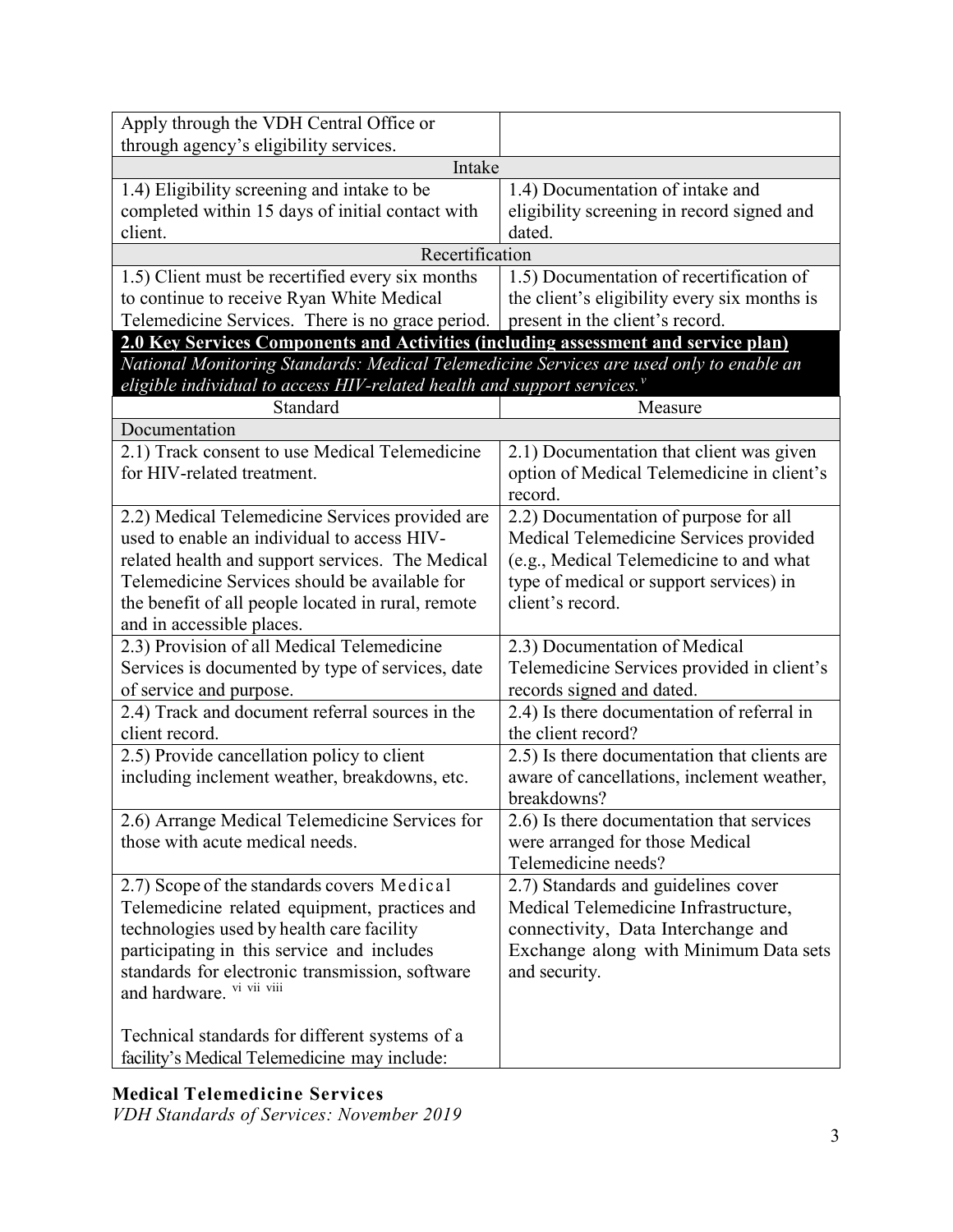| Apply through the VDH Central Office or                                                                                                                            |                                                             |  |
|--------------------------------------------------------------------------------------------------------------------------------------------------------------------|-------------------------------------------------------------|--|
| through agency's eligibility services.<br>Intake                                                                                                                   |                                                             |  |
| 1.4) Eligibility screening and intake to be                                                                                                                        | 1.4) Documentation of intake and                            |  |
| completed within 15 days of initial contact with                                                                                                                   | eligibility screening in record signed and                  |  |
| client.                                                                                                                                                            | dated.                                                      |  |
| Recertification                                                                                                                                                    |                                                             |  |
| 1.5) Client must be recertified every six months                                                                                                                   | 1.5) Documentation of recertification of                    |  |
| to continue to receive Ryan White Medical                                                                                                                          | the client's eligibility every six months is                |  |
| Telemedicine Services. There is no grace period.                                                                                                                   | present in the client's record.                             |  |
| 2.0 Key Services Components and Activities (including assessment and service plan)                                                                                 |                                                             |  |
| National Monitoring Standards: Medical Telemedicine Services are used only to enable an<br>eligible individual to access HIV-related health and support services." |                                                             |  |
| Standard                                                                                                                                                           | Measure                                                     |  |
| Documentation                                                                                                                                                      |                                                             |  |
| 2.1) Track consent to use Medical Telemedicine                                                                                                                     | 2.1) Documentation that client was given                    |  |
| for HIV-related treatment.                                                                                                                                         | option of Medical Telemedicine in client's                  |  |
|                                                                                                                                                                    | record.                                                     |  |
| 2.2) Medical Telemedicine Services provided are<br>used to enable an individual to access HIV-                                                                     | 2.2) Documentation of purpose for all                       |  |
|                                                                                                                                                                    | Medical Telemedicine Services provided                      |  |
| related health and support services. The Medical<br>Telemedicine Services should be available for                                                                  | (e.g., Medical Telemedicine to and what                     |  |
| the benefit of all people located in rural, remote                                                                                                                 | type of medical or support services) in<br>client's record. |  |
| and in accessible places.                                                                                                                                          |                                                             |  |
| 2.3) Provision of all Medical Telemedicine                                                                                                                         | 2.3) Documentation of Medical                               |  |
| Services is documented by type of services, date                                                                                                                   | Telemedicine Services provided in client's                  |  |
| of service and purpose.                                                                                                                                            | records signed and dated.                                   |  |
| 2.4) Track and document referral sources in the                                                                                                                    | 2.4) Is there documentation of referral in                  |  |
| client record.                                                                                                                                                     | the client record?                                          |  |
| 2.5) Provide cancellation policy to client                                                                                                                         | 2.5) Is there documentation that clients are                |  |
| including inclement weather, breakdowns, etc.                                                                                                                      | aware of cancellations, inclement weather,                  |  |
|                                                                                                                                                                    | breakdowns?                                                 |  |
| 2.6) Arrange Medical Telemedicine Services for                                                                                                                     | 2.6) Is there documentation that services                   |  |
| those with acute medical needs.                                                                                                                                    | were arranged for those Medical                             |  |
|                                                                                                                                                                    | Telemedicine needs?                                         |  |
| 2.7) Scope of the standards covers Medical                                                                                                                         | 2.7) Standards and guidelines cover                         |  |
| Telemedicine related equipment, practices and                                                                                                                      | Medical Telemedicine Infrastructure,                        |  |
| technologies used by health care facility                                                                                                                          | connectivity, Data Interchange and                          |  |
| participating in this service and includes                                                                                                                         | Exchange along with Minimum Data sets                       |  |
| standards for electronic transmission, software                                                                                                                    | and security.                                               |  |
| and hardware. vi vii viii                                                                                                                                          |                                                             |  |
|                                                                                                                                                                    |                                                             |  |
| Technical standards for different systems of a                                                                                                                     |                                                             |  |
| facility's Medical Telemedicine may include:                                                                                                                       |                                                             |  |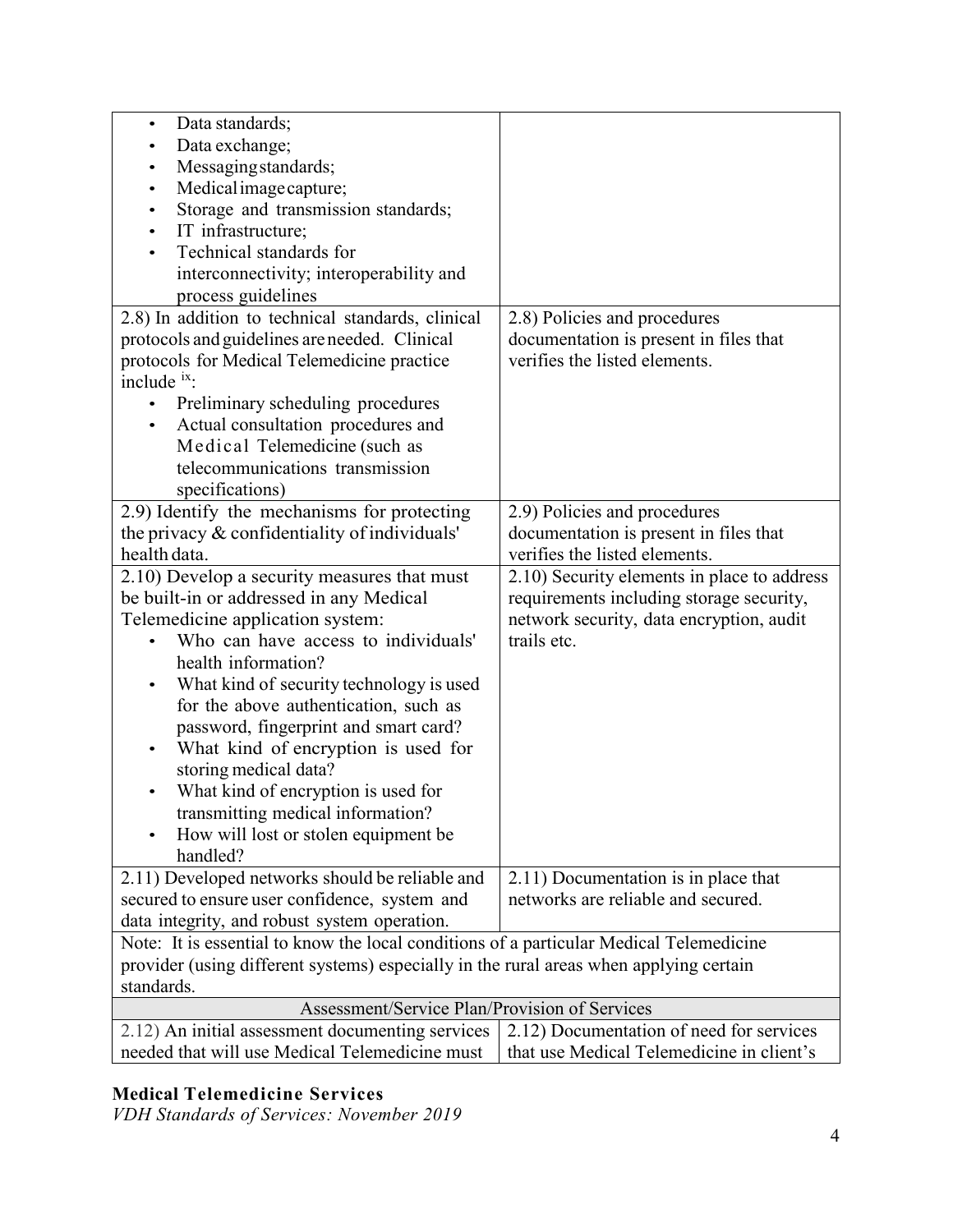| Data standards;<br>$\bullet$                                                            |                                             |
|-----------------------------------------------------------------------------------------|---------------------------------------------|
| Data exchange;                                                                          |                                             |
| Messaging standards;                                                                    |                                             |
| Medical image capture;<br>$\bullet$                                                     |                                             |
| Storage and transmission standards;                                                     |                                             |
| IT infrastructure;                                                                      |                                             |
| Technical standards for                                                                 |                                             |
| interconnectivity; interoperability and                                                 |                                             |
| process guidelines                                                                      |                                             |
| 2.8) In addition to technical standards, clinical                                       | 2.8) Policies and procedures                |
| protocols and guidelines are needed. Clinical                                           | documentation is present in files that      |
| protocols for Medical Telemedicine practice                                             | verifies the listed elements.               |
| include ix:                                                                             |                                             |
| Preliminary scheduling procedures                                                       |                                             |
| Actual consultation procedures and<br>$\bullet$                                         |                                             |
| Medical Telemedicine (such as                                                           |                                             |
| telecommunications transmission                                                         |                                             |
| specifications)                                                                         |                                             |
| 2.9) Identify the mechanisms for protecting                                             | 2.9) Policies and procedures                |
| the privacy & confidentiality of individuals'                                           | documentation is present in files that      |
| health data.                                                                            | verifies the listed elements.               |
| 2.10) Develop a security measures that must                                             | 2.10) Security elements in place to address |
| be built-in or addressed in any Medical                                                 | requirements including storage security,    |
| Telemedicine application system:                                                        | network security, data encryption, audit    |
| Who can have access to individuals'                                                     | trails etc.                                 |
| health information?                                                                     |                                             |
| What kind of security technology is used<br>$\bullet$                                   |                                             |
| for the above authentication, such as                                                   |                                             |
| password, fingerprint and smart card?                                                   |                                             |
| What kind of encryption is used for                                                     |                                             |
| storing medical data?                                                                   |                                             |
| What kind of encryption is used for                                                     |                                             |
| transmitting medical information?                                                       |                                             |
| How will lost or stolen equipment be                                                    |                                             |
| handled?                                                                                |                                             |
| 2.11) Developed networks should be reliable and                                         | 2.11) Documentation is in place that        |
| secured to ensure user confidence, system and                                           | networks are reliable and secured.          |
| data integrity, and robust system operation.                                            |                                             |
| Note: It is essential to know the local conditions of a particular Medical Telemedicine |                                             |
| provider (using different systems) especially in the rural areas when applying certain  |                                             |
| standards.                                                                              |                                             |
| Assessment/Service Plan/Provision of Services                                           |                                             |
| 2.12) An initial assessment documenting services                                        | 2.12) Documentation of need for services    |
| needed that will use Medical Telemedicine must                                          | that use Medical Telemedicine in client's   |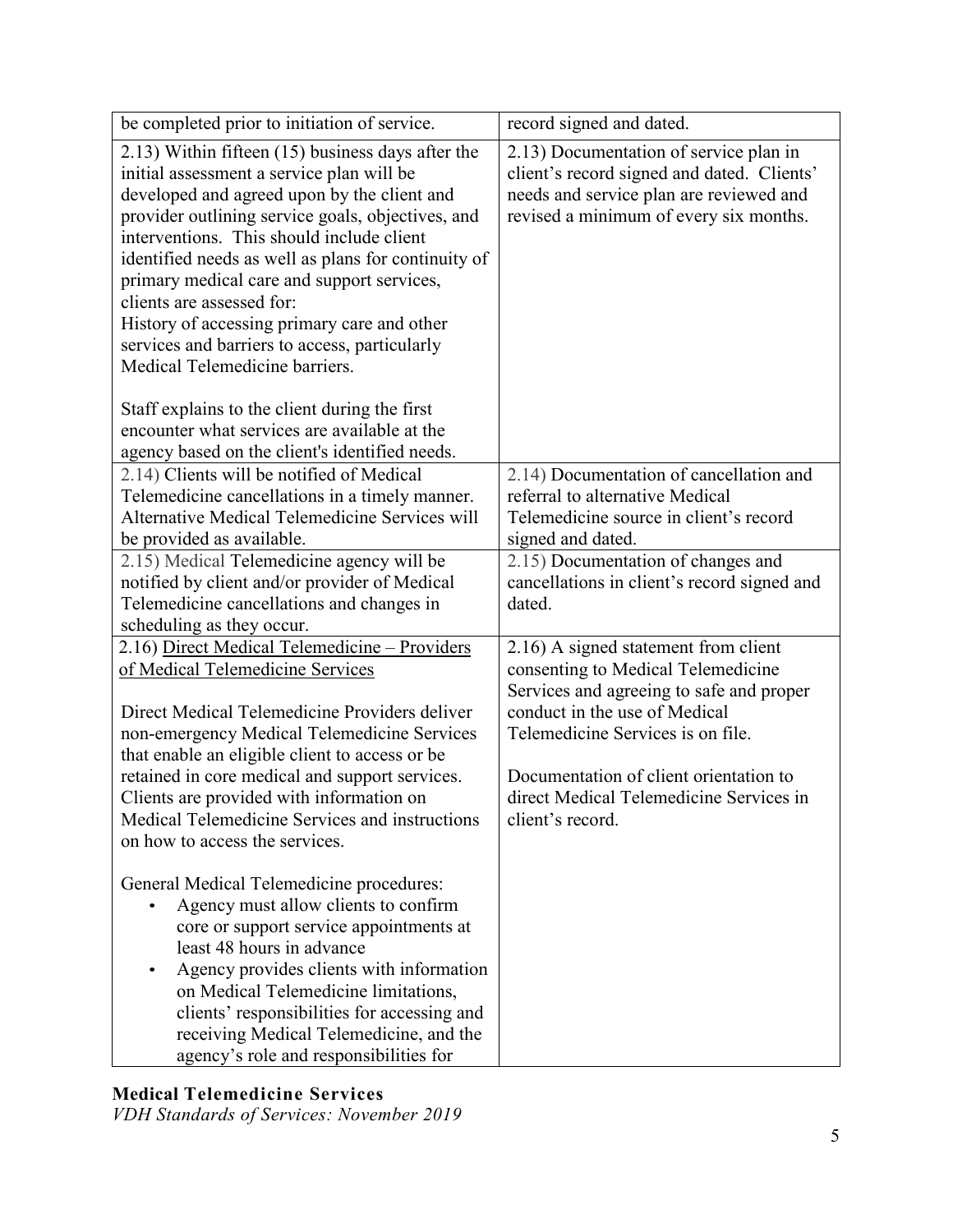| be completed prior to initiation of service.                                                                                                                                                                                                                                                                                                                                                                                                                                                                                                                                                                         | record signed and dated.                                                                                                                                                                                                                                                                              |
|----------------------------------------------------------------------------------------------------------------------------------------------------------------------------------------------------------------------------------------------------------------------------------------------------------------------------------------------------------------------------------------------------------------------------------------------------------------------------------------------------------------------------------------------------------------------------------------------------------------------|-------------------------------------------------------------------------------------------------------------------------------------------------------------------------------------------------------------------------------------------------------------------------------------------------------|
| 2.13) Within fifteen (15) business days after the<br>initial assessment a service plan will be<br>developed and agreed upon by the client and<br>provider outlining service goals, objectives, and<br>interventions. This should include client<br>identified needs as well as plans for continuity of<br>primary medical care and support services,<br>clients are assessed for:<br>History of accessing primary care and other<br>services and barriers to access, particularly<br>Medical Telemedicine barriers.<br>Staff explains to the client during the first<br>encounter what services are available at the | 2.13) Documentation of service plan in<br>client's record signed and dated. Clients'<br>needs and service plan are reviewed and<br>revised a minimum of every six months.                                                                                                                             |
| agency based on the client's identified needs.                                                                                                                                                                                                                                                                                                                                                                                                                                                                                                                                                                       |                                                                                                                                                                                                                                                                                                       |
| 2.14) Clients will be notified of Medical<br>Telemedicine cancellations in a timely manner.<br>Alternative Medical Telemedicine Services will<br>be provided as available.                                                                                                                                                                                                                                                                                                                                                                                                                                           | 2.14) Documentation of cancellation and<br>referral to alternative Medical<br>Telemedicine source in client's record<br>signed and dated.                                                                                                                                                             |
| 2.15) Medical Telemedicine agency will be<br>notified by client and/or provider of Medical<br>Telemedicine cancellations and changes in<br>scheduling as they occur.                                                                                                                                                                                                                                                                                                                                                                                                                                                 | 2.15) Documentation of changes and<br>cancellations in client's record signed and<br>dated.                                                                                                                                                                                                           |
| 2.16) Direct Medical Telemedicine - Providers<br>of Medical Telemedicine Services<br>Direct Medical Telemedicine Providers deliver<br>non-emergency Medical Telemedicine Services<br>that enable an eligible client to access or be<br>retained in core medical and support services.<br>Clients are provided with information on<br>Medical Telemedicine Services and instructions<br>on how to access the services.                                                                                                                                                                                                | 2.16) A signed statement from client<br>consenting to Medical Telemedicine<br>Services and agreeing to safe and proper<br>conduct in the use of Medical<br>Telemedicine Services is on file.<br>Documentation of client orientation to<br>direct Medical Telemedicine Services in<br>client's record. |
| General Medical Telemedicine procedures:<br>Agency must allow clients to confirm<br>core or support service appointments at<br>least 48 hours in advance<br>Agency provides clients with information<br>on Medical Telemedicine limitations,<br>clients' responsibilities for accessing and<br>receiving Medical Telemedicine, and the<br>agency's role and responsibilities for                                                                                                                                                                                                                                     |                                                                                                                                                                                                                                                                                                       |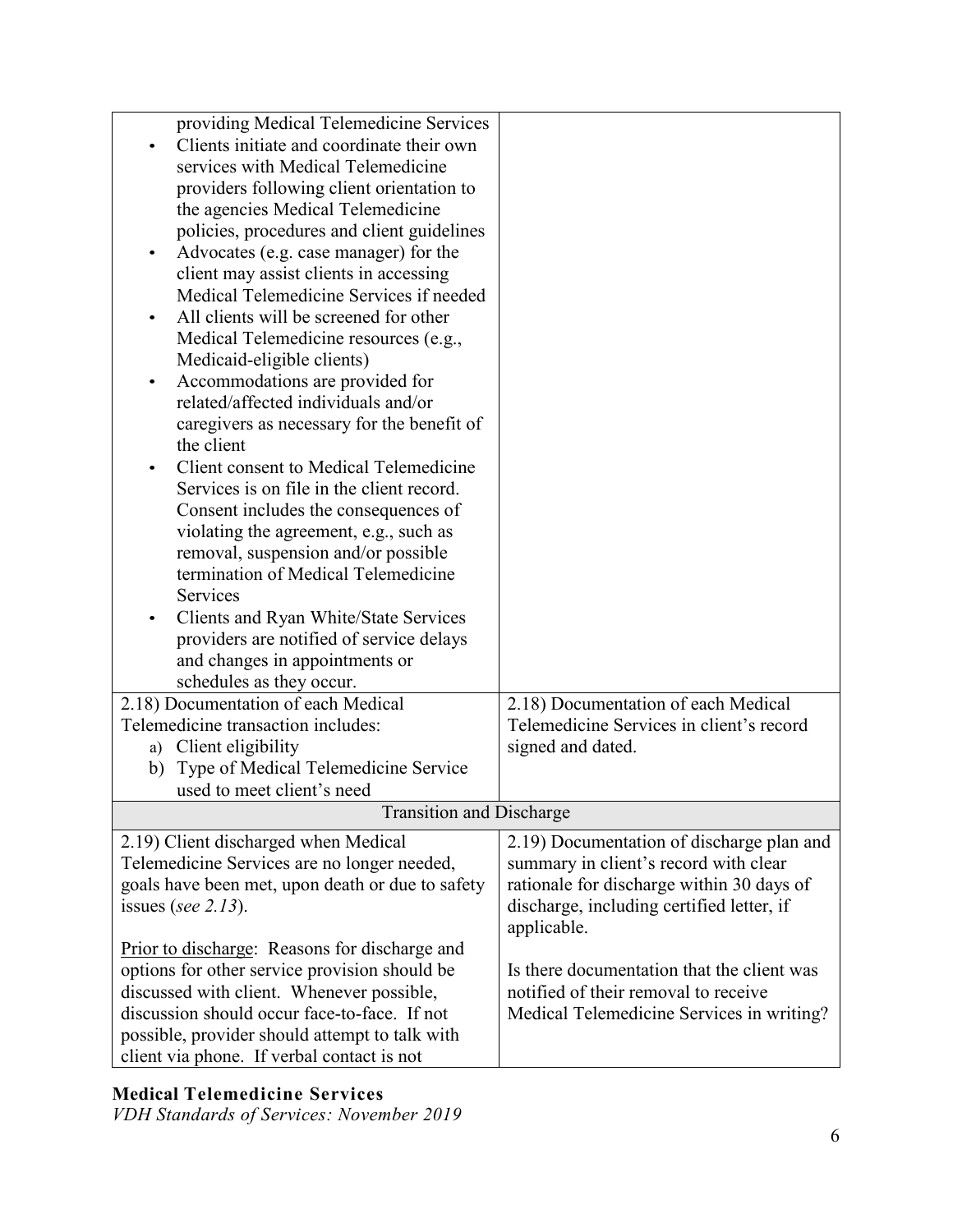| providing Medical Telemedicine Services              |                                            |
|------------------------------------------------------|--------------------------------------------|
| Clients initiate and coordinate their own            |                                            |
| services with Medical Telemedicine                   |                                            |
| providers following client orientation to            |                                            |
| the agencies Medical Telemedicine                    |                                            |
| policies, procedures and client guidelines           |                                            |
|                                                      |                                            |
| Advocates (e.g. case manager) for the                |                                            |
| client may assist clients in accessing               |                                            |
| Medical Telemedicine Services if needed              |                                            |
| All clients will be screened for other               |                                            |
| Medical Telemedicine resources (e.g.,                |                                            |
| Medicaid-eligible clients)                           |                                            |
| Accommodations are provided for<br>$\bullet$         |                                            |
| related/affected individuals and/or                  |                                            |
| caregivers as necessary for the benefit of           |                                            |
| the client                                           |                                            |
| Client consent to Medical Telemedicine               |                                            |
| Services is on file in the client record.            |                                            |
| Consent includes the consequences of                 |                                            |
| violating the agreement, e.g., such as               |                                            |
| removal, suspension and/or possible                  |                                            |
| termination of Medical Telemedicine                  |                                            |
| <b>Services</b>                                      |                                            |
| Clients and Ryan White/State Services                |                                            |
| providers are notified of service delays             |                                            |
| and changes in appointments or                       |                                            |
|                                                      |                                            |
| schedules as they occur.                             |                                            |
| 2.18) Documentation of each Medical                  | 2.18) Documentation of each Medical        |
| Telemedicine transaction includes:                   | Telemedicine Services in client's record   |
| a) Client eligibility                                | signed and dated.                          |
| Type of Medical Telemedicine Service<br>b)           |                                            |
| used to meet client's need                           |                                            |
| <b>Transition and Discharge</b>                      |                                            |
| 2.19) Client discharged when Medical                 | 2.19) Documentation of discharge plan and  |
| Telemedicine Services are no longer needed,          | summary in client's record with clear      |
| goals have been met, upon death or due to safety     | rationale for discharge within 30 days of  |
| issues (see $2.13$ ).                                | discharge, including certified letter, if  |
|                                                      | applicable.                                |
| <b>Prior to discharge:</b> Reasons for discharge and |                                            |
| options for other service provision should be        | Is there documentation that the client was |
| discussed with client. Whenever possible,            | notified of their removal to receive       |
| discussion should occur face-to-face. If not         |                                            |
|                                                      | Medical Telemedicine Services in writing?  |
| possible, provider should attempt to talk with       |                                            |
| client via phone. If verbal contact is not           |                                            |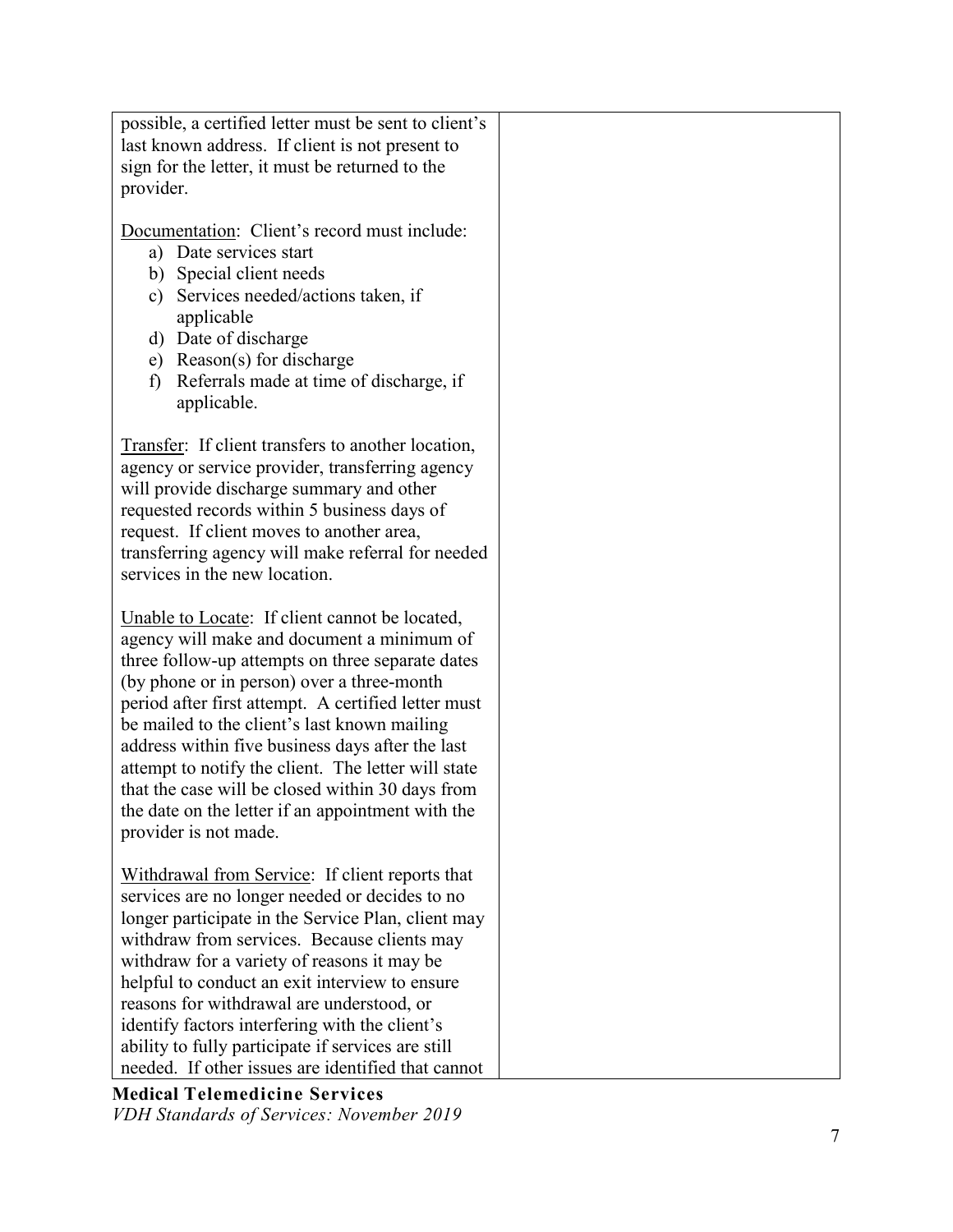| possible, a certified letter must be sent to client's<br>last known address. If client is not present to<br>sign for the letter, it must be returned to the<br>provider.                                                                                                                                                                                                                                                                                                                                                                           |  |
|----------------------------------------------------------------------------------------------------------------------------------------------------------------------------------------------------------------------------------------------------------------------------------------------------------------------------------------------------------------------------------------------------------------------------------------------------------------------------------------------------------------------------------------------------|--|
| Documentation: Client's record must include:<br>a) Date services start<br>b) Special client needs<br>Services needed/actions taken, if<br>c)<br>applicable<br>d) Date of discharge<br>Reason(s) for discharge<br>e)<br>Referrals made at time of discharge, if<br>f)<br>applicable.                                                                                                                                                                                                                                                                |  |
| Transfer: If client transfers to another location,<br>agency or service provider, transferring agency<br>will provide discharge summary and other<br>requested records within 5 business days of<br>request. If client moves to another area,<br>transferring agency will make referral for needed<br>services in the new location.                                                                                                                                                                                                                |  |
| Unable to Locate: If client cannot be located,<br>agency will make and document a minimum of<br>three follow-up attempts on three separate dates<br>(by phone or in person) over a three-month<br>period after first attempt. A certified letter must<br>be mailed to the client's last known mailing<br>address within five business days after the last<br>attempt to notify the client. The letter will state<br>that the case will be closed within 30 days from<br>the date on the letter if an appointment with the<br>provider is not made. |  |
| Withdrawal from Service: If client reports that<br>services are no longer needed or decides to no<br>longer participate in the Service Plan, client may<br>withdraw from services. Because clients may<br>withdraw for a variety of reasons it may be<br>helpful to conduct an exit interview to ensure<br>reasons for withdrawal are understood, or<br>identify factors interfering with the client's<br>ability to fully participate if services are still<br>needed. If other issues are identified that cannot                                 |  |

**Medical Telemedicine Services** *VDH Standards of Services: November 2019*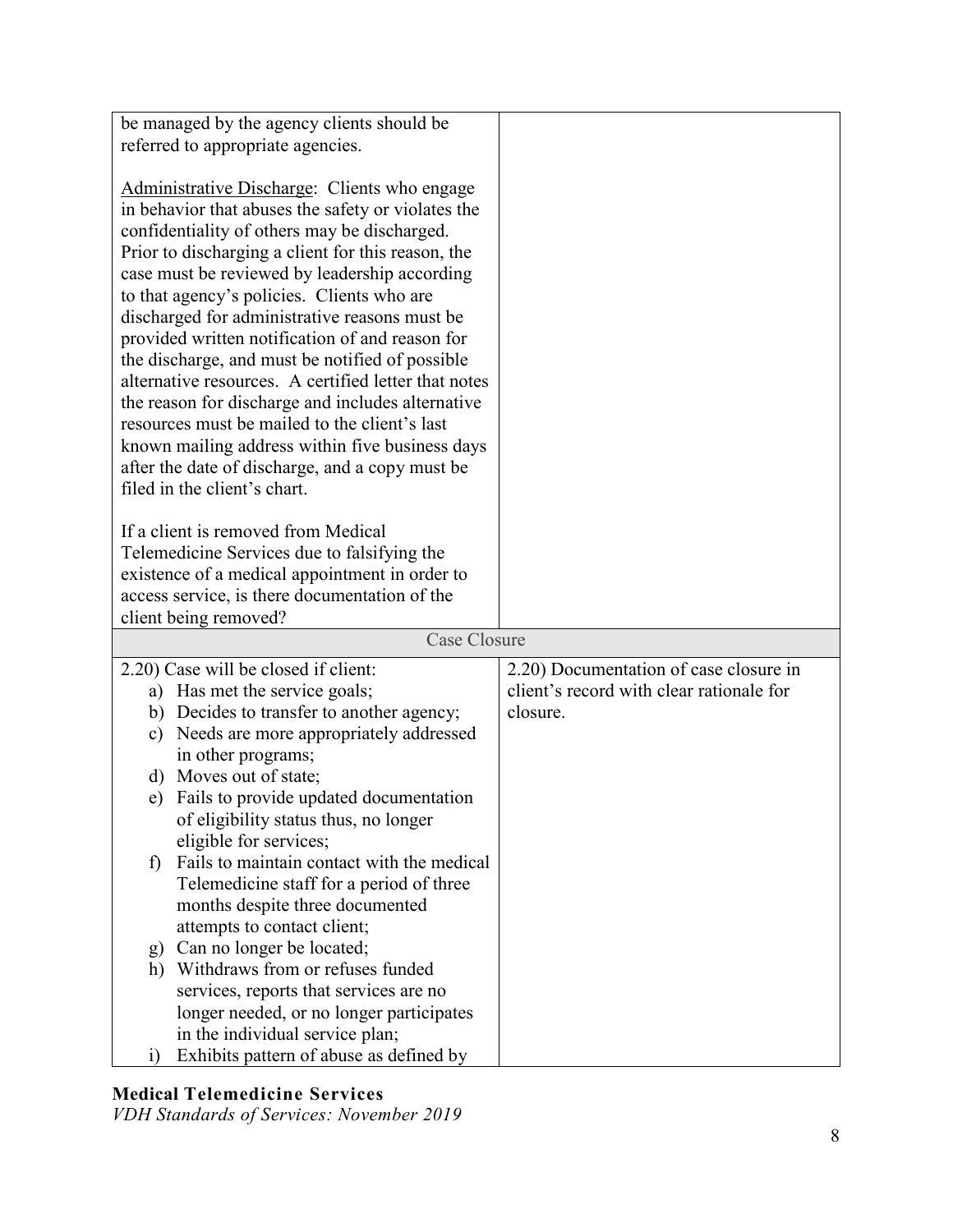| be managed by the agency clients should be                                                                                                                                                                                                                                                                                                                                                                                                                                                                                                                                                                                                                                                                                                                         |                                          |
|--------------------------------------------------------------------------------------------------------------------------------------------------------------------------------------------------------------------------------------------------------------------------------------------------------------------------------------------------------------------------------------------------------------------------------------------------------------------------------------------------------------------------------------------------------------------------------------------------------------------------------------------------------------------------------------------------------------------------------------------------------------------|------------------------------------------|
| referred to appropriate agencies.                                                                                                                                                                                                                                                                                                                                                                                                                                                                                                                                                                                                                                                                                                                                  |                                          |
|                                                                                                                                                                                                                                                                                                                                                                                                                                                                                                                                                                                                                                                                                                                                                                    |                                          |
| Administrative Discharge: Clients who engage<br>in behavior that abuses the safety or violates the<br>confidentiality of others may be discharged.<br>Prior to discharging a client for this reason, the<br>case must be reviewed by leadership according<br>to that agency's policies. Clients who are<br>discharged for administrative reasons must be<br>provided written notification of and reason for<br>the discharge, and must be notified of possible<br>alternative resources. A certified letter that notes<br>the reason for discharge and includes alternative<br>resources must be mailed to the client's last<br>known mailing address within five business days<br>after the date of discharge, and a copy must be<br>filed in the client's chart. |                                          |
|                                                                                                                                                                                                                                                                                                                                                                                                                                                                                                                                                                                                                                                                                                                                                                    |                                          |
| If a client is removed from Medical                                                                                                                                                                                                                                                                                                                                                                                                                                                                                                                                                                                                                                                                                                                                |                                          |
| Telemedicine Services due to falsifying the                                                                                                                                                                                                                                                                                                                                                                                                                                                                                                                                                                                                                                                                                                                        |                                          |
| existence of a medical appointment in order to                                                                                                                                                                                                                                                                                                                                                                                                                                                                                                                                                                                                                                                                                                                     |                                          |
| access service, is there documentation of the                                                                                                                                                                                                                                                                                                                                                                                                                                                                                                                                                                                                                                                                                                                      |                                          |
| client being removed?<br>Case Closure                                                                                                                                                                                                                                                                                                                                                                                                                                                                                                                                                                                                                                                                                                                              |                                          |
|                                                                                                                                                                                                                                                                                                                                                                                                                                                                                                                                                                                                                                                                                                                                                                    |                                          |
| 2.20) Case will be closed if client:                                                                                                                                                                                                                                                                                                                                                                                                                                                                                                                                                                                                                                                                                                                               | 2.20) Documentation of case closure in   |
| a) Has met the service goals;                                                                                                                                                                                                                                                                                                                                                                                                                                                                                                                                                                                                                                                                                                                                      | client's record with clear rationale for |
| b) Decides to transfer to another agency;                                                                                                                                                                                                                                                                                                                                                                                                                                                                                                                                                                                                                                                                                                                          | closure.                                 |
| Needs are more appropriately addressed<br>c)                                                                                                                                                                                                                                                                                                                                                                                                                                                                                                                                                                                                                                                                                                                       |                                          |
| in other programs;                                                                                                                                                                                                                                                                                                                                                                                                                                                                                                                                                                                                                                                                                                                                                 |                                          |
| Moves out of state;<br>d)                                                                                                                                                                                                                                                                                                                                                                                                                                                                                                                                                                                                                                                                                                                                          |                                          |
| e) Fails to provide updated documentation                                                                                                                                                                                                                                                                                                                                                                                                                                                                                                                                                                                                                                                                                                                          |                                          |
|                                                                                                                                                                                                                                                                                                                                                                                                                                                                                                                                                                                                                                                                                                                                                                    |                                          |
|                                                                                                                                                                                                                                                                                                                                                                                                                                                                                                                                                                                                                                                                                                                                                                    |                                          |
| of eligibility status thus, no longer                                                                                                                                                                                                                                                                                                                                                                                                                                                                                                                                                                                                                                                                                                                              |                                          |
| eligible for services;<br>Fails to maintain contact with the medical                                                                                                                                                                                                                                                                                                                                                                                                                                                                                                                                                                                                                                                                                               |                                          |
| $\mathbf{f}$                                                                                                                                                                                                                                                                                                                                                                                                                                                                                                                                                                                                                                                                                                                                                       |                                          |
| Telemedicine staff for a period of three                                                                                                                                                                                                                                                                                                                                                                                                                                                                                                                                                                                                                                                                                                                           |                                          |
| months despite three documented                                                                                                                                                                                                                                                                                                                                                                                                                                                                                                                                                                                                                                                                                                                                    |                                          |
| attempts to contact client;                                                                                                                                                                                                                                                                                                                                                                                                                                                                                                                                                                                                                                                                                                                                        |                                          |
| Can no longer be located;<br>g)                                                                                                                                                                                                                                                                                                                                                                                                                                                                                                                                                                                                                                                                                                                                    |                                          |
| Withdraws from or refuses funded<br>h)                                                                                                                                                                                                                                                                                                                                                                                                                                                                                                                                                                                                                                                                                                                             |                                          |
| services, reports that services are no                                                                                                                                                                                                                                                                                                                                                                                                                                                                                                                                                                                                                                                                                                                             |                                          |
| longer needed, or no longer participates<br>in the individual service plan;                                                                                                                                                                                                                                                                                                                                                                                                                                                                                                                                                                                                                                                                                        |                                          |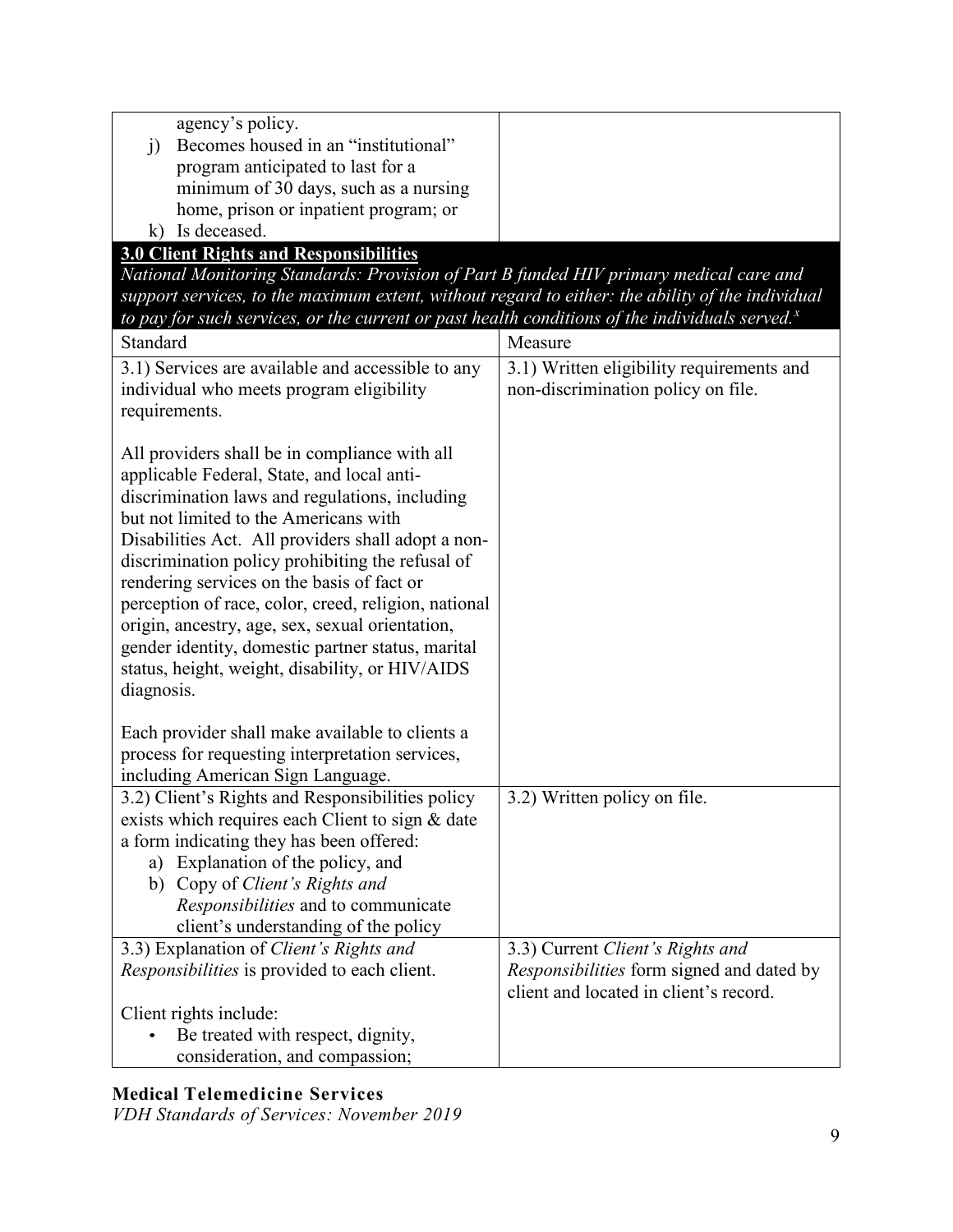| agency's policy.                                                                                   |                                           |
|----------------------------------------------------------------------------------------------------|-------------------------------------------|
| Becomes housed in an "institutional"<br>j)                                                         |                                           |
| program anticipated to last for a                                                                  |                                           |
| minimum of 30 days, such as a nursing                                                              |                                           |
| home, prison or inpatient program; or                                                              |                                           |
| k) Is deceased.                                                                                    |                                           |
| <b>3.0 Client Rights and Responsibilities</b>                                                      |                                           |
| National Monitoring Standards: Provision of Part B funded HIV primary medical care and             |                                           |
| support services, to the maximum extent, without regard to either: the ability of the individual   |                                           |
| to pay for such services, or the current or past health conditions of the individuals served. $^x$ |                                           |
| Standard                                                                                           | Measure                                   |
|                                                                                                    |                                           |
| 3.1) Services are available and accessible to any                                                  | 3.1) Written eligibility requirements and |
| individual who meets program eligibility                                                           | non-discrimination policy on file.        |
| requirements.                                                                                      |                                           |
|                                                                                                    |                                           |
| All providers shall be in compliance with all                                                      |                                           |
| applicable Federal, State, and local anti-                                                         |                                           |
| discrimination laws and regulations, including                                                     |                                           |
| but not limited to the Americans with                                                              |                                           |
| Disabilities Act. All providers shall adopt a non-                                                 |                                           |
| discrimination policy prohibiting the refusal of                                                   |                                           |
| rendering services on the basis of fact or                                                         |                                           |
| perception of race, color, creed, religion, national                                               |                                           |
| origin, ancestry, age, sex, sexual orientation,                                                    |                                           |
| gender identity, domestic partner status, marital                                                  |                                           |
| status, height, weight, disability, or HIV/AIDS                                                    |                                           |
| diagnosis.                                                                                         |                                           |
|                                                                                                    |                                           |
| Each provider shall make available to clients a                                                    |                                           |
| process for requesting interpretation services,                                                    |                                           |
| including American Sign Language.                                                                  |                                           |
| 3.2) Client's Rights and Responsibilities policy                                                   | 3.2) Written policy on file.              |
| exists which requires each Client to sign & date                                                   |                                           |
| a form indicating they has been offered:                                                           |                                           |
| a) Explanation of the policy, and                                                                  |                                           |
| b) Copy of Client's Rights and                                                                     |                                           |
| Responsibilities and to communicate                                                                |                                           |
| client's understanding of the policy                                                               |                                           |
| 3.3) Explanation of Client's Rights and                                                            | 3.3) Current Client's Rights and          |
| <i>Responsibilities</i> is provided to each client.                                                | Responsibilities form signed and dated by |
|                                                                                                    | client and located in client's record.    |
| Client rights include:                                                                             |                                           |
| Be treated with respect, dignity,                                                                  |                                           |
| consideration, and compassion;                                                                     |                                           |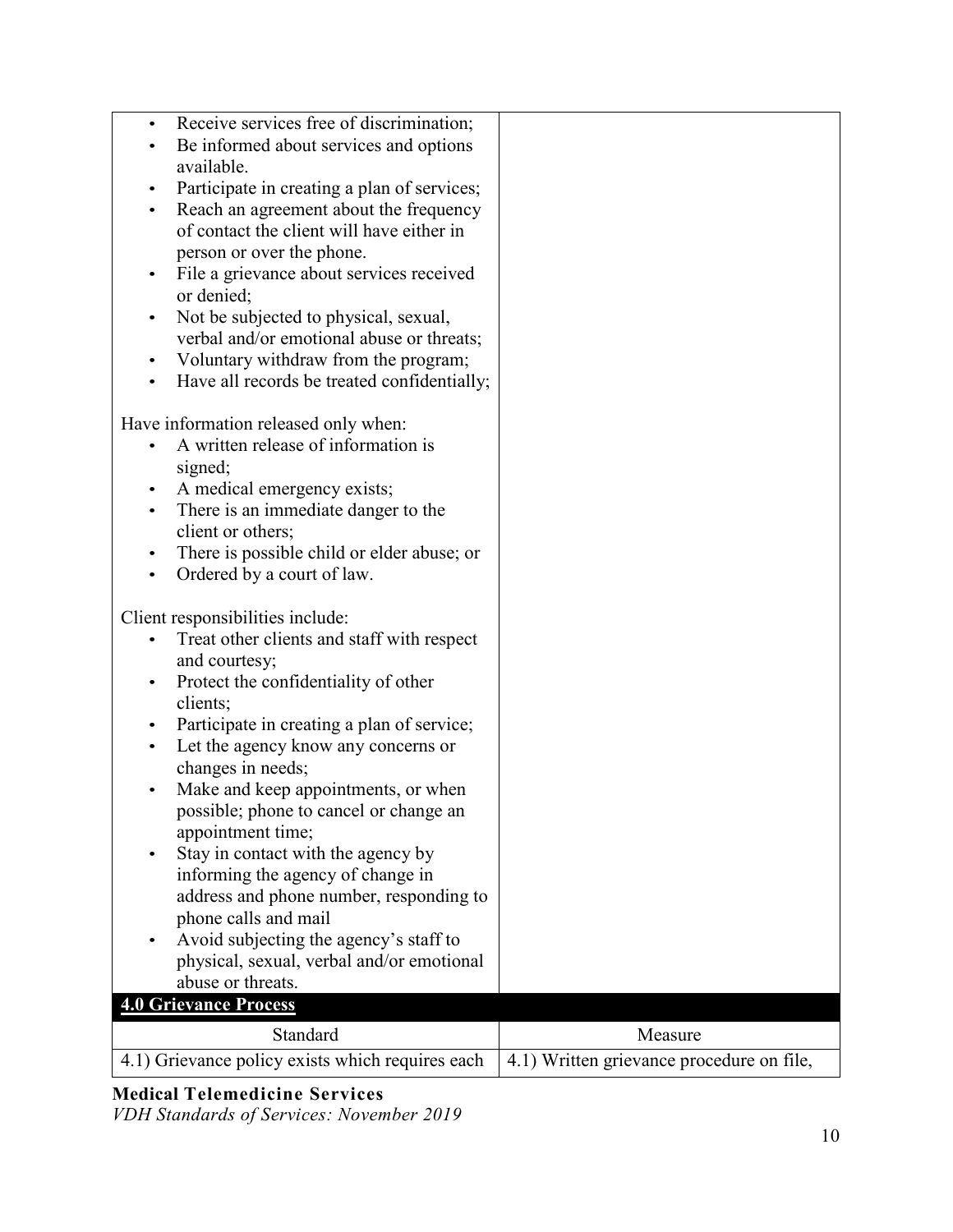| Receive services free of discrimination;<br>$\bullet$<br>Be informed about services and options<br>٠<br>available.<br>Participate in creating a plan of services;<br>$\bullet$<br>Reach an agreement about the frequency<br>$\bullet$<br>of contact the client will have either in<br>person or over the phone.<br>File a grievance about services received<br>$\bullet$<br>or denied;<br>Not be subjected to physical, sexual,<br>$\bullet$<br>verbal and/or emotional abuse or threats;<br>Voluntary withdraw from the program;<br>$\bullet$<br>Have all records be treated confidentially;                                                                                                  |                                           |
|------------------------------------------------------------------------------------------------------------------------------------------------------------------------------------------------------------------------------------------------------------------------------------------------------------------------------------------------------------------------------------------------------------------------------------------------------------------------------------------------------------------------------------------------------------------------------------------------------------------------------------------------------------------------------------------------|-------------------------------------------|
| Have information released only when:<br>A written release of information is<br>signed;<br>A medical emergency exists;<br>$\bullet$<br>There is an immediate danger to the<br>$\bullet$<br>client or others;<br>There is possible child or elder abuse; or<br>$\bullet$<br>Ordered by a court of law.<br>$\bullet$                                                                                                                                                                                                                                                                                                                                                                              |                                           |
| Client responsibilities include:<br>Treat other clients and staff with respect<br>and courtesy;<br>Protect the confidentiality of other<br>$\bullet$<br>clients;<br>Participate in creating a plan of service;<br>٠<br>Let the agency know any concerns or<br>changes in needs;<br>Make and keep appointments, or when<br>٠<br>possible; phone to cancel or change an<br>appointment time;<br>Stay in contact with the agency by<br>٠<br>informing the agency of change in<br>address and phone number, responding to<br>phone calls and mail<br>Avoid subjecting the agency's staff to<br>٠<br>physical, sexual, verbal and/or emotional<br>abuse or threats.<br><b>4.0 Grievance Process</b> |                                           |
| Standard                                                                                                                                                                                                                                                                                                                                                                                                                                                                                                                                                                                                                                                                                       | Measure                                   |
| 4.1) Grievance policy exists which requires each                                                                                                                                                                                                                                                                                                                                                                                                                                                                                                                                                                                                                                               | 4.1) Written grievance procedure on file, |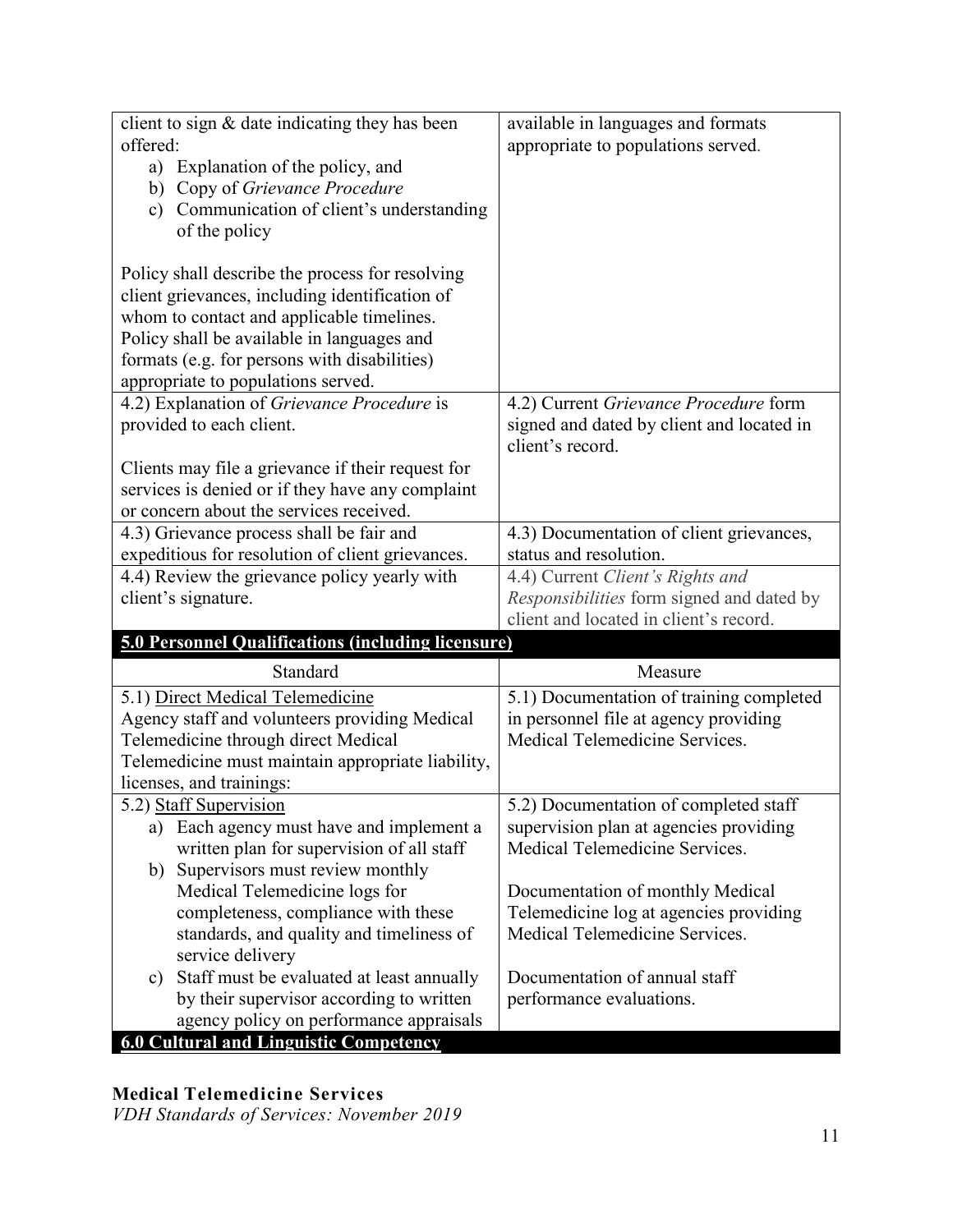| client to sign $&$ date indicating they has been   | available in languages and formats        |
|----------------------------------------------------|-------------------------------------------|
| offered:                                           | appropriate to populations served.        |
| a) Explanation of the policy, and                  |                                           |
| Copy of Grievance Procedure<br>b)                  |                                           |
| Communication of client's understanding<br>c)      |                                           |
| of the policy                                      |                                           |
|                                                    |                                           |
| Policy shall describe the process for resolving    |                                           |
| client grievances, including identification of     |                                           |
| whom to contact and applicable timelines.          |                                           |
| Policy shall be available in languages and         |                                           |
| formats (e.g. for persons with disabilities)       |                                           |
| appropriate to populations served.                 |                                           |
| 4.2) Explanation of Grievance Procedure is         | 4.2) Current Grievance Procedure form     |
| provided to each client.                           | signed and dated by client and located in |
|                                                    | client's record.                          |
| Clients may file a grievance if their request for  |                                           |
| services is denied or if they have any complaint   |                                           |
| or concern about the services received.            |                                           |
| 4.3) Grievance process shall be fair and           | 4.3) Documentation of client grievances,  |
| expeditious for resolution of client grievances.   | status and resolution.                    |
| 4.4) Review the grievance policy yearly with       | 4.4) Current Client's Rights and          |
| client's signature.                                | Responsibilities form signed and dated by |
|                                                    | client and located in client's record.    |
| 5.0 Personnel Qualifications (including licensure) |                                           |
| Standard                                           | Measure                                   |
| 5.1) Direct Medical Telemedicine                   | 5.1) Documentation of training completed  |
| Agency staff and volunteers providing Medical      | in personnel file at agency providing     |
| Telemedicine through direct Medical                | Medical Telemedicine Services.            |
| Telemedicine must maintain appropriate liability,  |                                           |
| licenses, and trainings:                           |                                           |
| 5.2) Staff Supervision                             | 5.2) Documentation of completed staff     |
| a) Each agency must have and implement a           | supervision plan at agencies providing    |
| written plan for supervision of all staff          | Medical Telemedicine Services.            |
| Supervisors must review monthly<br>b)              |                                           |
| Medical Telemedicine logs for                      |                                           |
|                                                    | Documentation of monthly Medical          |
| completeness, compliance with these                | Telemedicine log at agencies providing    |
| standards, and quality and timeliness of           | Medical Telemedicine Services.            |
| service delivery                                   |                                           |
| Staff must be evaluated at least annually<br>c)    | Documentation of annual staff             |
| by their supervisor according to written           | performance evaluations.                  |
| agency policy on performance appraisals            |                                           |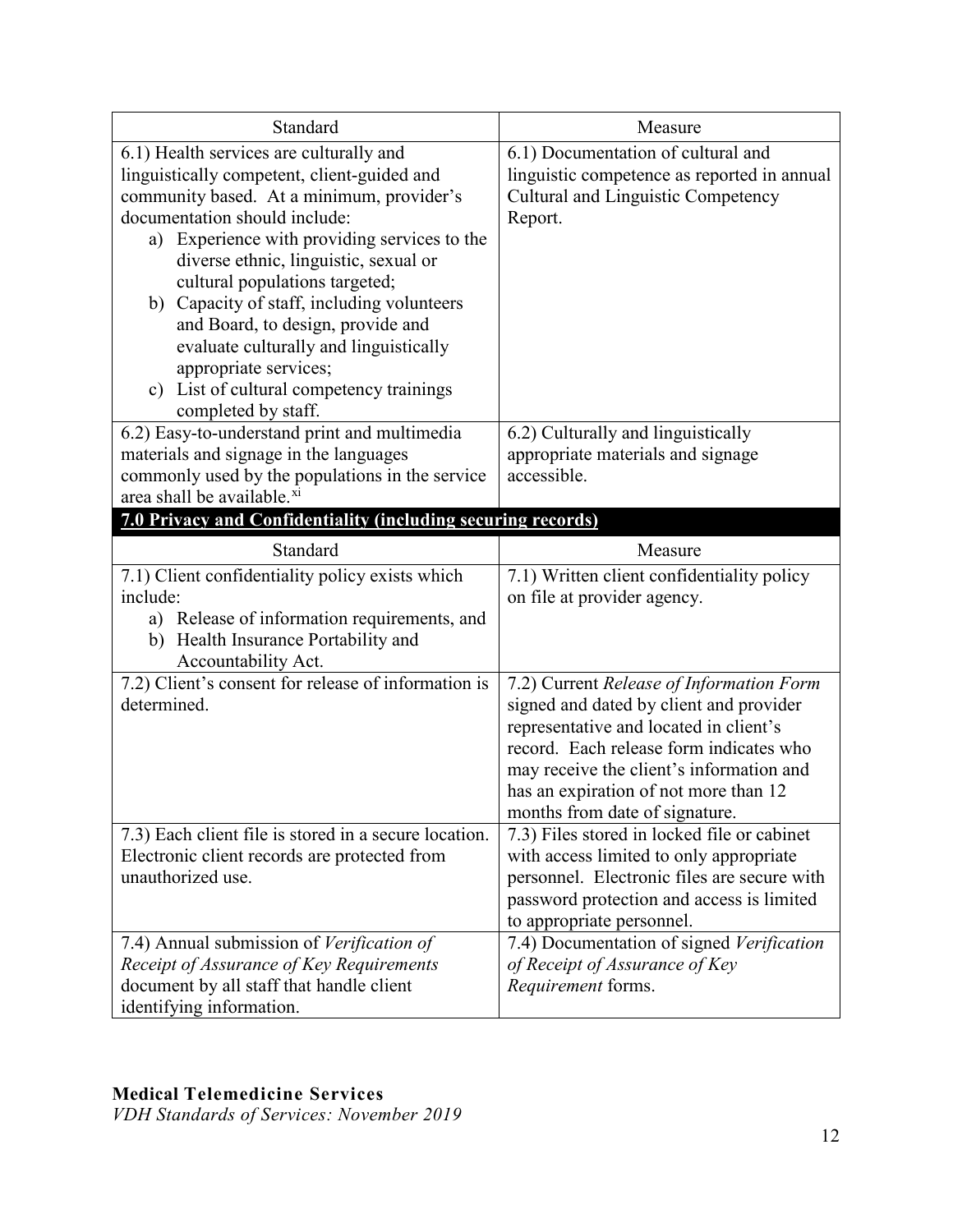| Standard                                                                                                                                                                                                                                                                                                                                                                                                                                                                                                                    | Measure                                                                                                                                                                                                                                                                                         |
|-----------------------------------------------------------------------------------------------------------------------------------------------------------------------------------------------------------------------------------------------------------------------------------------------------------------------------------------------------------------------------------------------------------------------------------------------------------------------------------------------------------------------------|-------------------------------------------------------------------------------------------------------------------------------------------------------------------------------------------------------------------------------------------------------------------------------------------------|
| 6.1) Health services are culturally and<br>linguistically competent, client-guided and<br>community based. At a minimum, provider's<br>documentation should include:<br>a) Experience with providing services to the<br>diverse ethnic, linguistic, sexual or<br>cultural populations targeted;<br>b) Capacity of staff, including volunteers<br>and Board, to design, provide and<br>evaluate culturally and linguistically<br>appropriate services;<br>List of cultural competency trainings<br>c)<br>completed by staff. | 6.1) Documentation of cultural and<br>linguistic competence as reported in annual<br>Cultural and Linguistic Competency<br>Report.                                                                                                                                                              |
| 6.2) Easy-to-understand print and multimedia<br>materials and signage in the languages<br>commonly used by the populations in the service<br>area shall be available. <sup>xi</sup>                                                                                                                                                                                                                                                                                                                                         | 6.2) Culturally and linguistically<br>appropriate materials and signage<br>accessible.                                                                                                                                                                                                          |
| 7.0 Privacy and Confidentiality (including securing records)                                                                                                                                                                                                                                                                                                                                                                                                                                                                |                                                                                                                                                                                                                                                                                                 |
| Standard                                                                                                                                                                                                                                                                                                                                                                                                                                                                                                                    | Measure                                                                                                                                                                                                                                                                                         |
| 7.1) Client confidentiality policy exists which<br>include:<br>a) Release of information requirements, and<br>b) Health Insurance Portability and<br>Accountability Act.                                                                                                                                                                                                                                                                                                                                                    | 7.1) Written client confidentiality policy<br>on file at provider agency.                                                                                                                                                                                                                       |
| 7.2) Client's consent for release of information is<br>determined.                                                                                                                                                                                                                                                                                                                                                                                                                                                          | 7.2) Current Release of Information Form<br>signed and dated by client and provider<br>representative and located in client's<br>record. Each release form indicates who<br>may receive the client's information and<br>has an expiration of not more than 12<br>months from date of signature. |
| 7.3) Each client file is stored in a secure location.<br>Electronic client records are protected from<br>unauthorized use.                                                                                                                                                                                                                                                                                                                                                                                                  | 7.3) Files stored in locked file or cabinet<br>with access limited to only appropriate<br>personnel. Electronic files are secure with<br>password protection and access is limited<br>to appropriate personnel.                                                                                 |
| 7.4) Annual submission of Verification of<br>Receipt of Assurance of Key Requirements<br>document by all staff that handle client<br>identifying information.                                                                                                                                                                                                                                                                                                                                                               | 7.4) Documentation of signed Verification<br>of Receipt of Assurance of Key<br>Requirement forms.                                                                                                                                                                                               |